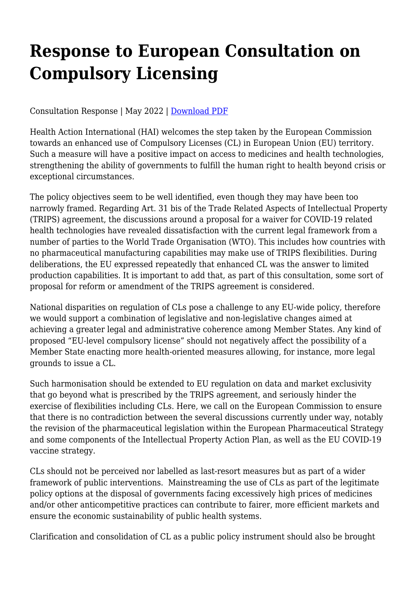## **Response to European Consultation on Compulsory Licensing**

Consultation Response | May 2022 | [Download PDF](https://haiweb.org/wp-content/uploads/2022/05/CL-Consultation-May-2022.pdf)

Health Action International (HAI) welcomes the step taken by the European Commission towards an enhanced use of Compulsory Licenses (CL) in European Union (EU) territory. Such a measure will have a positive impact on access to medicines and health technologies, strengthening the ability of governments to fulfill the human right to health beyond crisis or exceptional circumstances.

The policy objectives seem to be well identified, even though they may have been too narrowly framed. Regarding Art. 31 bis of the Trade Related Aspects of Intellectual Property (TRIPS) agreement, the discussions around a proposal for a waiver for COVID-19 related health technologies have revealed dissatisfaction with the current legal framework from a number of parties to the World Trade Organisation (WTO). This includes how countries with no pharmaceutical manufacturing capabilities may make use of TRIPS flexibilities. During deliberations, the EU expressed repeatedly that enhanced CL was the answer to limited production capabilities. It is important to add that, as part of this consultation, some sort of proposal for reform or amendment of the TRIPS agreement is considered.

National disparities on regulation of CLs pose a challenge to any EU-wide policy, therefore we would support a combination of legislative and non-legislative changes aimed at achieving a greater legal and administrative coherence among Member States. Any kind of proposed "EU-level compulsory license" should not negatively affect the possibility of a Member State enacting more health-oriented measures allowing, for instance, more legal grounds to issue a CL.

Such harmonisation should be extended to EU regulation on data and market exclusivity that go beyond what is prescribed by the TRIPS agreement, and seriously hinder the exercise of flexibilities including CLs. Here, we call on the European Commission to ensure that there is no contradiction between the several discussions currently under way, notably the revision of the pharmaceutical legislation within the European Pharmaceutical Strategy and some components of the Intellectual Property Action Plan, as well as the EU COVID-19 vaccine strategy.

CLs should not be perceived nor labelled as last-resort measures but as part of a wider framework of public interventions. Mainstreaming the use of CLs as part of the legitimate policy options at the disposal of governments facing excessively high prices of medicines and/or other anticompetitive practices can contribute to fairer, more efficient markets and ensure the economic sustainability of public health systems.

Clarification and consolidation of CL as a public policy instrument should also be brought